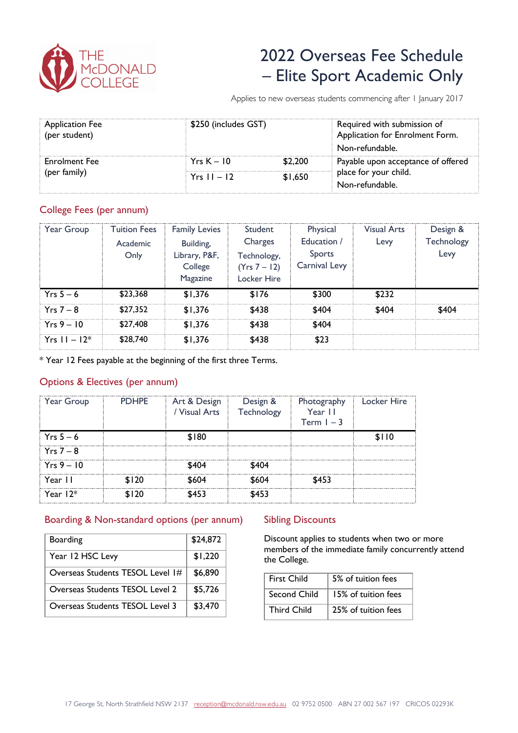

# 2022 Overseas Fee Schedule – Elite Sport Academic Only

Applies to new overseas students commencing after 1 January 2017

| <b>Application Fee</b><br>(per student) | \$250 (includes GST) |         | Required with submission of<br>Application for Enrolment Form.<br>Non-refundable. |  |
|-----------------------------------------|----------------------|---------|-----------------------------------------------------------------------------------|--|
| Enrolment Fee<br>(per family)           | $YrsK - 10$          | \$2.200 | Payable upon acceptance of offered                                                |  |
|                                         | $Yrs 11 - 12$        | \$1.650 | place for your child.<br>Non-refundable.                                          |  |
|                                         |                      |         |                                                                                   |  |

#### College Fees (per annum)

| Year Group       | <b>Tuition Fees</b><br><b>Academic</b><br>Only | <b>Family Levies</b><br>Building,<br>Library, P&F,<br>College<br>Magazine | Student<br>Charges<br>Technology,<br>(Yrs 7 – 12)<br>Locker Hire | Physical<br>Education /<br>Sports<br>Carnival Levy | <b>Visual Arts</b><br>Levy | Design &<br>Technology<br>Levy |
|------------------|------------------------------------------------|---------------------------------------------------------------------------|------------------------------------------------------------------|----------------------------------------------------|----------------------------|--------------------------------|
| $Yrs 5 - 6$      | \$23,368                                       | \$1,376                                                                   | \$176                                                            | \$300                                              | \$232                      |                                |
| $Yrs 7 - 8$      | \$27.352                                       | \$1,376                                                                   | \$438                                                            | \$404                                              | \$404                      | \$404                          |
| $Yrs 9 - 10$     | \$27,408                                       | \$1.376                                                                   | \$438                                                            | \$404                                              |                            |                                |
| $Yrs = 11 - 12*$ | \$28,740                                       | \$1.376                                                                   | \$438                                                            | \$23                                               |                            |                                |

\* Year 12 Fees payable at the beginning of the first three Terms.

### Options & Electives (per annum)

| Year Group   | <b>PDHPE</b> | Art & Design<br>/ Visual Arts | Design &<br>Technology | Photography<br>Year II<br>Term $1 - 3$ | Locker Hire |
|--------------|--------------|-------------------------------|------------------------|----------------------------------------|-------------|
| $Yrs 5-6$    |              | \$180                         |                        |                                        | \$110       |
| $Yrs 7 - 8$  |              |                               |                        |                                        |             |
| $Yrs 9 - 10$ |              | \$404                         | \$404                  |                                        |             |
| Year 11      | \$120        | \$604                         | \$604                  | \$453                                  |             |
| Year $12*$   | \$120        | \$453                         | \$453                  |                                        |             |

### Boarding & Non-standard options (per annum)

| <b>Boarding</b>                  | \$24,872 |
|----------------------------------|----------|
| Year 12 HSC Levy                 | \$1,220  |
| Overseas Students TESOL Level 1# | \$6,890  |
| Overseas Students TESOL Level 2  | \$5,726  |
| Overseas Students TESOL Level 3  | \$3,470  |

#### Sibling Discounts

Discount applies to students when two or more members of the immediate family concurrently attend the College.

| <b>First Child</b> | 5% of tuition fees  |  |  |
|--------------------|---------------------|--|--|
| Second Child       | 15% of tuition fees |  |  |
| Third Child        | 25% of tuition fees |  |  |